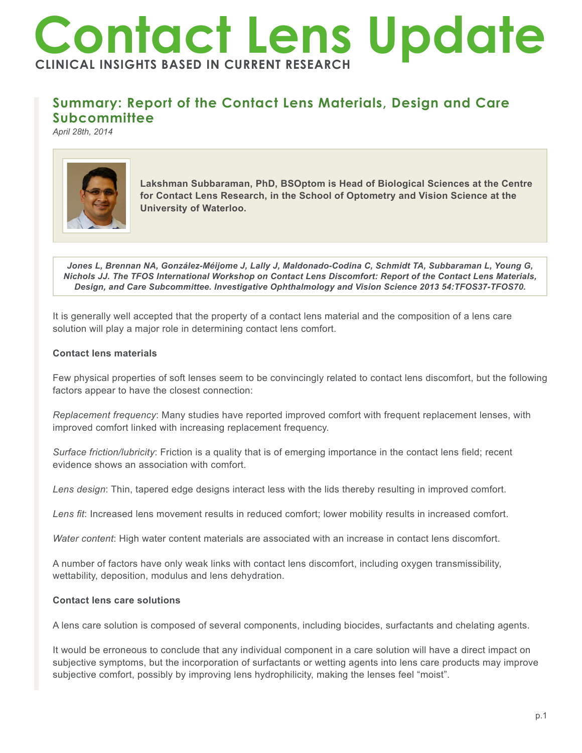# **Contact Lens Update INICAL INSIGHTS BASED IN CURRENT RESEARCH**

## **Summary: Report of the Contact Lens Materials, Design and Care Subcommittee**

*April 28th, 2014*



**Lakshman Subbaraman, PhD, BSOptom is Head of Biological Sciences at the Centre for Contact Lens Research, in the School of Optometry and Vision Science at the University of Waterloo.** 

*Jones L, Brennan NA, González-Méijome J, Lally J, Maldonado-Codina C, Schmidt TA, Subbaraman L, Young G, Nichols JJ. The TFOS International Workshop on Contact Lens Discomfort: Report of the Contact Lens Materials, Design, and Care Subcommittee. Investigative Ophthalmology and Vision Science 2013 54:TFOS37-TFOS70.*

It is generally well accepted that the property of a contact lens material and the composition of a lens care solution will play a major role in determining contact lens comfort.

### **Contact lens materials**

Few physical properties of soft lenses seem to be convincingly related to contact lens discomfort, but the following factors appear to have the closest connection:

*Replacement frequency*: Many studies have reported improved comfort with frequent replacement lenses, with improved comfort linked with increasing replacement frequency.

*Surface friction/lubricity*: Friction is a quality that is of emerging importance in the contact lens field; recent evidence shows an association with comfort.

*Lens design*: Thin, tapered edge designs interact less with the lids thereby resulting in improved comfort.

*Lens fit*: Increased lens movement results in reduced comfort; lower mobility results in increased comfort.

*Water content*: High water content materials are associated with an increase in contact lens discomfort.

A number of factors have only weak links with contact lens discomfort, including oxygen transmissibility, wettability, deposition, modulus and lens dehydration.

### **Contact lens care solutions**

A lens care solution is composed of several components, including biocides, surfactants and chelating agents.

It would be erroneous to conclude that any individual component in a care solution will have a direct impact on subjective symptoms, but the incorporation of surfactants or wetting agents into lens care products may improve subjective comfort, possibly by improving lens hydrophilicity, making the lenses feel "moist".